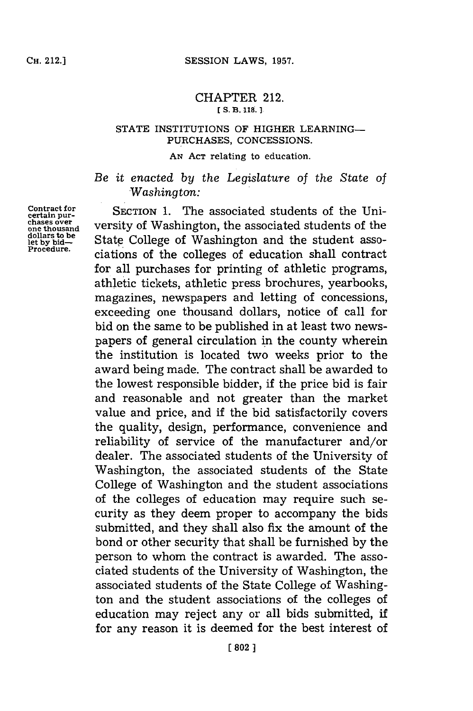## CHAPTER 212. **[ S. 13. 118.1**

## **STATE** INSTITUTIONS OF HIGHER LEARNING-**PURCHASES, CONCESSIONS.**

## **AN ACr** relating to education.

*Be it enacted by the Legislature of the State of Washington:*

Contract for SECTION 1. The associated students of the Unichases over versity of Washington, the associated students of the State College of Washington and the student asso-**Proedue.** ciations of the colleges of education shall contract for all purchases for printing of athletic programs, athletic tickets, athletic press brochures, yearbooks, magazines, newspapers and letting of concessions, exceeding one thousand dollars, notice of call for bid on the same to be published in at least two newspapers of general circulation in the county wherein the institution is located two weeks prior to the award being made. The contract shall be awarded to the lowest responsible bidder, if the price bid is fair and reasonable and not greater than the market value and price, and if the bid satisfactorily covers the quality, design, performance, convenience and reliability of service of the manufacturer and/or dealer. The associated students of the University of Washington, the associated students of the State College of Washington and the student associations of the colleges of education may require such security as they deem proper to accompany the bids submitted, and they shall also fix the amount of the bond or other security that shall be furnished **by** the person to whom the contract is awarded. The associated students of the University of Washington, the associated students of the State College of Washington and the student associations of the colleges of education may reject any or all bids submitted, if for any reason it is deemed for the best interest of

dollars to be<br>let by bid—<br>Procedure.